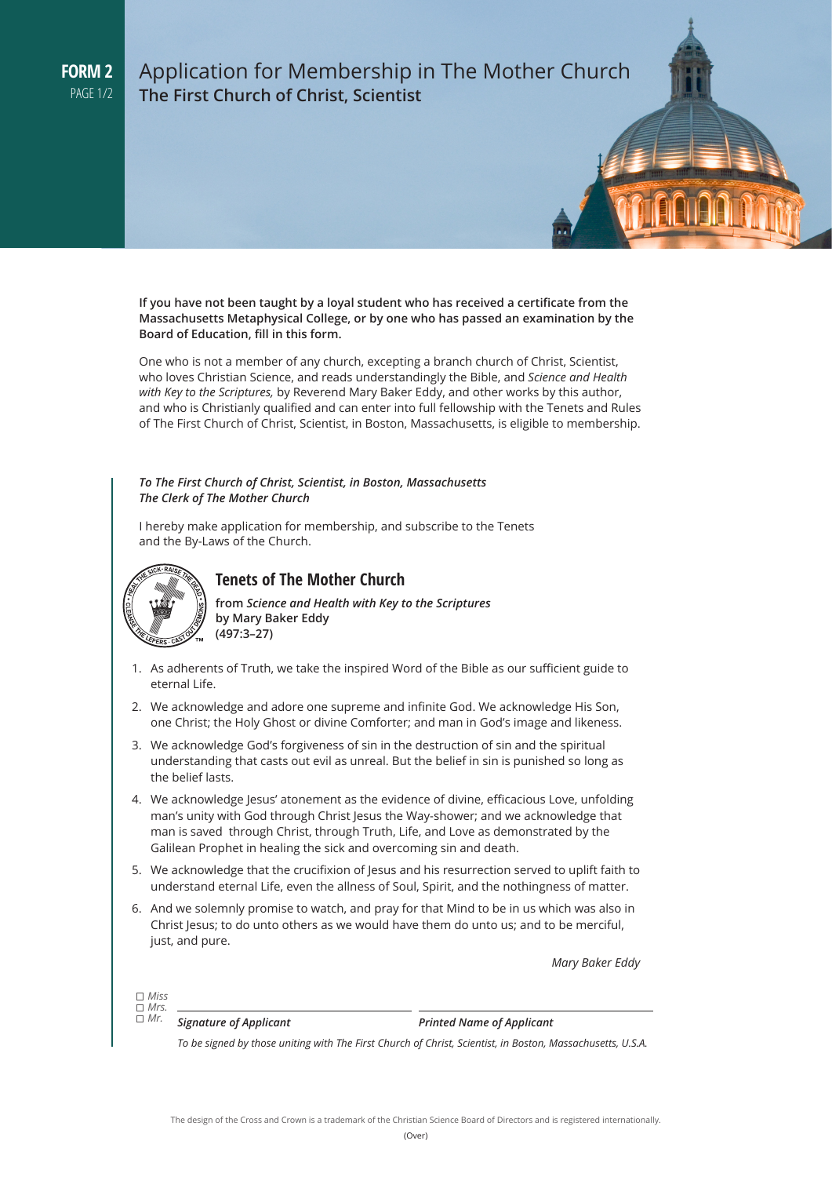# Application for Membership in The Mother Church **The First Church of Christ, Scientist**

**If you have not been taught by a loyal student who has received a certificate from the Massachusetts Metaphysical College, or by one who has passed an examination by the Board of Education, fill in this form.** 

One who is not a member of any church, excepting a branch church of Christ, Scientist, who loves Christian Science, and reads understandingly the Bible, and *Science and Health with Key to the Scriptures,* by Reverend Mary Baker Eddy, and other works by this author, and who is Christianly qualified and can enter into full fellowship with the Tenets and Rules of The First Church of Christ, Scientist, in Boston, Massachusetts, is eligible to membership.

#### *To The First Church of Christ, Scientist, in Boston, Massachusetts The Clerk of The Mother Church*

I hereby make application for membership, and subscribe to the Tenets and the By-Laws of the Church.



# **Tenets of The Mother Church**

**from** *Science and Health with Key to the Scriptures* **by Mary Baker Eddy (497:3–27)**

- 1. As adherents of Truth, we take the inspired Word of the Bible as our sufficient guide to eternal Life.
- 2. We acknowledge and adore one supreme and infinite God. We acknowledge His Son, one Christ; the Holy Ghost or divine Comforter; and man in God's image and likeness.
- 3. We acknowledge God's forgiveness of sin in the destruction of sin and the spiritual understanding that casts out evil as unreal. But the belief in sin is punished so long as the belief lasts.
- 4. We acknowledge Jesus' atonement as the evidence of divine, efficacious Love, unfolding man's unity with God through Christ Jesus the Way-shower; and we acknowledge that man is saved through Christ, through Truth, Life, and Love as demonstrated by the Galilean Prophet in healing the sick and overcoming sin and death.
- 5. We acknowledge that the crucifixion of Jesus and his resurrection served to uplift faith to understand eternal Life, even the allness of Soul, Spirit, and the nothingness of matter.
- 6. And we solemnly promise to watch, and pray for that Mind to be in us which was also in Christ Jesus; to do unto others as we would have them do unto us; and to be merciful, just, and pure.

*Mary Baker Eddy*

*Miss Mrs.* 

*Mr.*

*Signature of Applicant Printed Name of Applicant*

*To be signed by those uniting with The First Church of Christ, Scientist, in Boston, Massachusetts, U.S.A.*